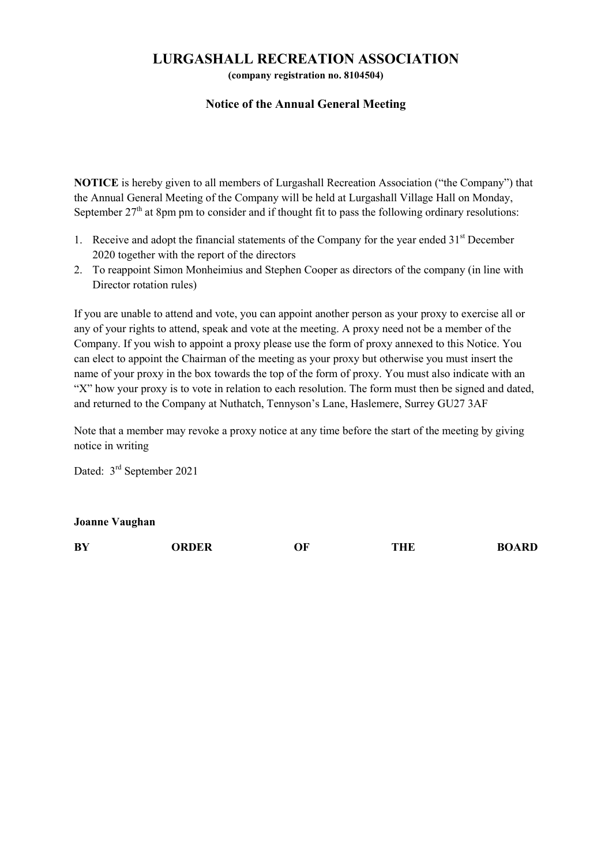## LURGASHALL RECREATION ASSOCIATION

(company registration no. 8104504)

## Notice of the Annual General Meeting

NOTICE is hereby given to all members of Lurgashall Recreation Association ("the Company") that the Annual General Meeting of the Company will be held at Lurgashall Village Hall on Monday, September  $27<sup>th</sup>$  at 8pm pm to consider and if thought fit to pass the following ordinary resolutions:

- 1. Receive and adopt the financial statements of the Company for the year ended  $31<sup>st</sup>$  December 2020 together with the report of the directors
- 2. To reappoint Simon Monheimius and Stephen Cooper as directors of the company (in line with Director rotation rules)

If you are unable to attend and vote, you can appoint another person as your proxy to exercise all or any of your rights to attend, speak and vote at the meeting. A proxy need not be a member of the Company. If you wish to appoint a proxy please use the form of proxy annexed to this Notice. You can elect to appoint the Chairman of the meeting as your proxy but otherwise you must insert the name of your proxy in the box towards the top of the form of proxy. You must also indicate with an "X" how your proxy is to vote in relation to each resolution. The form must then be signed and dated, and returned to the Company at Nuthatch, Tennyson's Lane, Haslemere, Surrey GU27 3AF

Note that a member may revoke a proxy notice at any time before the start of the meeting by giving notice in writing

Dated: 3<sup>rd</sup> September 2021

Joanne Vaughan

| BY | <b>)RDER</b> | ОF | THE | <b>BOARD</b> |
|----|--------------|----|-----|--------------|
|    |              |    |     |              |